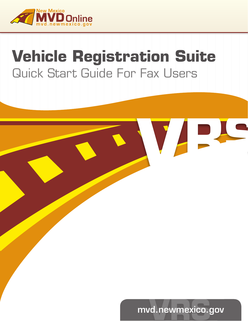

# **Vehicle Registration Suite** Quick Start Guide For Fax Users



VAS.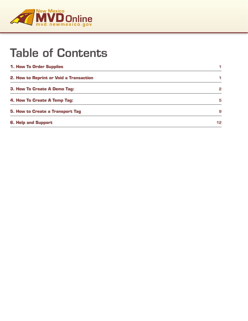

## Table of Contents

| 1. How To Order Supplies                | 1               |
|-----------------------------------------|-----------------|
| 2. How to Reprint or Void a Transaction | 1               |
| <b>3. How To Create A Demo Tag:</b>     | 2               |
| 4. How To Create A Temp Tag:            | 5               |
| <b>5. How to Create a Transport Tag</b> | 9               |
| <b>6. Help and Support</b>              | 12 <sup>°</sup> |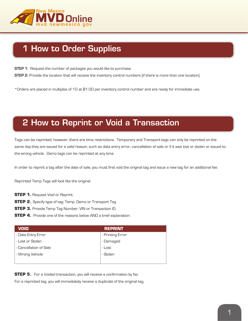

### 1 How to Order Supplies

**STEP 1:** Request the number of packages you would like to purchase.

**STEP 2:** Provide the location that will receive the inventory control numbers (if there is more than one location).

\*Orders are placed in multiples of 10 at \$1.00 per inventory control number and are ready for immediate use.

### 2 How to Reprint or Void a Transaction

Tags can be reprinted, however, there are time restrictions. Temporary and Transport tags can only be reprinted on the same day they are issued for a valid reason, such as data entry error, cancellation of sale or if it was lost or stolen or issued to the wrong vehicle. Demo tags can be reprinted at any time.

In order to reprint a tag after the date of sale, you must first void the original tag and issue a new tag for an additional fee.

Reprinted Temp Tags will look like the original.

- **STEP 1. Request Void or Reprint.**
- **STEP 2.** Specify type of tag: Temp, Demo or Transport Tag
- **STEP 3.** Provide Temp Tag Number, VIN or Transaction ID.
- **STEP 4.** Provide one of the reasons below AND a brief explanation:

| <b>VOID</b>            | <b>REPRINT</b>   |
|------------------------|------------------|
| - Data Entry Error     | - Printing Error |
| - Lost or Stolen       | - Damaged        |
| - Cancellation of Sale | - Lost           |
| - Wrong Vehicle        | - Stolen         |
|                        |                  |

**STEP 5.** For a Voided transaction, you will receive a confirmation by fax. For a reprinted tag, you will immediately receive a duplicate of the original tag.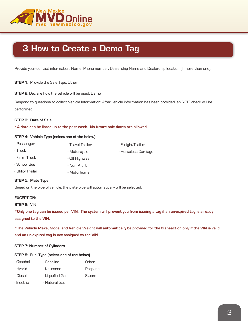

### 3 How to Create a Demo Tag

Provide your contact information: Name, Phone number, Dealership Name and Dealership location (if more than one).

**STEP 1:** Provide the Sale Type: Other

**STEP 2**: Declare how the vehicle will be used: Demo

Respond to questions to collect Vehicle Information: After vehicle information has been provided, an NCIC check will be performed.

#### **STEP 3: Date of Sale**

**\*A date can be listed up to the past week. No future sale dates are allowed.**

#### **STEP 4: Vehicle Type (select one of the below):**

| - Passenger       | - Travel Trailer | - Freight Trailer    |
|-------------------|------------------|----------------------|
| - Truck           | - Motorcycle     | - Horseless Carriage |
| - Farm Truck      | - Off Highway    |                      |
| - School Bus      | - Non Profit     |                      |
| - Utility Trailer | - Motorhome      |                      |
|                   |                  |                      |

#### **STEP 5: Plate Type**

Based on the type of vehicle, the plate type will automatically will be selected.

#### **EXCEPTION:**

#### **STEP 6:** VIN

**\*Only one tag can be issued per VIN. The system will prevent you from issuing a tag if an un-expired tag is already assigned to the VIN.**

**\*The Vehicle Make, Model and Vehicle Weight will automatically be provided for the transaction only if the VIN is valid and an un-expired tag is not assigned to the VIN.**

#### **STEP 7: Number of Cylinders**

#### **STEP 8: Fuel Type (select one of the below)**

| - Gasohol  | - Gasoline      | - Other   |
|------------|-----------------|-----------|
| - Hybrid   | - Kerosene      | - Propane |
| - Diesel   | - Liquefied Gas | - Steam   |
| - Electric | - Natural Gas   |           |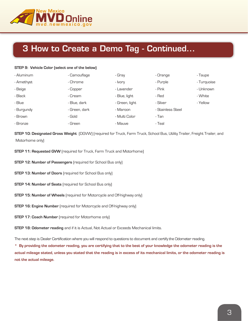

### 3 How to Create a Demo Tag - Continued...

#### **STEP 9: Vehicle Color (select one of the below)**

| - Aluminum | - Camouflage  | - Gray         | - Orange          | - Taupe     |
|------------|---------------|----------------|-------------------|-------------|
| - Amethyst | - Chrome      | - Ivory        | - Purple          | - Turquoise |
| - Beige    | - Copper      | - Lavender     | - Pink            | - Unknown   |
| - Black    | - Cream       | - Blue, light  | - Red             | - White     |
| - Blue     | - Blue, dark  | - Green, light | - Silver          | - Yellow    |
| - Burgundy | - Green, dark | - Maroon       | - Stainless Steel |             |
| - Brown    | - Gold        | - Multi Color  | - Tan             |             |
| - Bronze   | - Green       | - Mauve        | - Teal            |             |

**STEP 10: Designated Gross Weight** (DGVW) (required for Truck, Farm Truck, School Bus, Utility Trailer, Freight Trailer, and Motorhome only)

- **STEP 11: Requested GVW** [required for Truck, Farm Truck and Motorhome]
- **STEP 12: Number of Passengers** (required for School Bus only)
- **STEP 13: Number of Doors** (required for School Bus only)
- **STEP 14: Number of Seats** (required for School Bus only)
- **STEP 15: Number of Wheels** (required for Motorcycle and Off-highway only)
- **STEP 16: Engine Number** [required for Motorcycle and Off-highway only]
- **STEP 17: Coach Number** [required for Motorhome only]

**STEP 18: Odometer reading** and if it is Actual, Not Actual or Exceeds Mechanical limits.

The next step is Dealer Certification where you will respond to questions to document and certify the Odometer reading.

**\* By providing the odometer reading, you are certifying that to the best of your knowledge the odometer reading is the actual mileage stated, unless you stated that the reading is in excess of its mechanical limits, or the odometer reading is not the actual mileage.**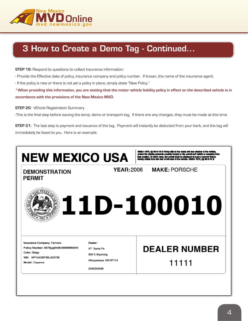

### 3 How to Create a Demo Tag - Continued...

**STEP 19:** Respond to questions to collect Insurance information:

- Provide the Effective date of policy, insurance company and policy number. If known, the name of the insurance agent.

- If the policy is new or there is not yet a policy in place, simply state "New Policy."

**\*When providing this information, you are stating that the motor vehicle liability policy in effect on the described vehicle is in accordance with the provisions of the New Mexico MVD.**

#### **STEP 20:** VEhicle Registration Summary

-This is the final step before issuing the temp, demo or transport tag. If there are any changes, they must be made at this time.

**STEP 21:** The last step is payment and issuance of the tag. Payment will instantly be deducted from your bank, and the tag will immediately be faxed to you. Here is an example:

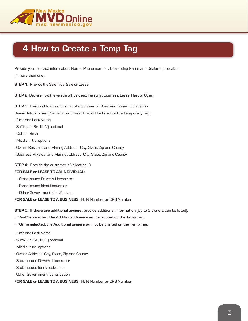

### 4 How to Create a Temp Tag

Provide your contact information: Name, Phone number, Dealership Name and Dealership location

(if more than one).

**STEP 1:** Provide the Sale Type: **Sale** or **Lease**

**STEP 2**: Declare how the vehicle will be used: Personal, Business, Lease, Fleet or Other.

**STEP 3:** Respond to questions to collect Owner or Business Owner Information.

**Owner Information** (Name of purchaser that will be listed on the Temporary Tag):

- First and Last Name
- Suffix (Jr., Sr., III, IV) optional
- Date of Birth
- Middle Initial optional
- Owner Resident and Mailing Address: City, State, Zip and County
- Business Physical and Mailing Address: City, State, Zip and County

**STEP 4:** Provide the customer's Validation ID

#### **FOR SALE or LEASE TO AN INDIVIDUAL:**

- State Issued Driver's License or
- State Issued Identification or
- Other Government Identification

**FOR SALE or LEASE TO A BUSINESS:** FEIN Number or CRS Number

**STEP 5: If there are additional owners, provide additional information** (Up to 3 owners can be listed)**.**

**If "And" is selected, the Additional Owners will be printed on the Temp Tag.**

**If "Or" is selected, the Additional owners will not be printed on the Temp Tag.**

- First and Last Name
- Suffix (Jr., Sr., III, IV) optional
- Middle Initial optional
- Owner Address: City, State, Zip and County
- State Issued Driver's License or
- State Issued Identification or
- Other Government Identification

**FOR SALE or LEASE TO A BUSINESS:** FEIN Number or CRS Number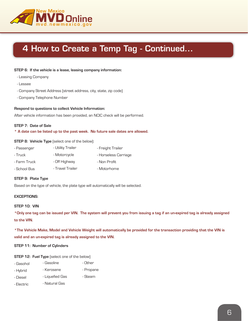

### 4 How to Create a Temp Tag - Continued...

#### **STEP 6: If the vehicle is a lease, leasing company information:**

- Leasing Company
- Lessee
- Company Street Address (street address, city, state, zip code)
- Company Telephone Number

#### **Respond to questions to collect Vehicle Information:**

After vehicle information has been provided, an NCIC check will be performed.

#### **STEP 7: Date of Sale**

#### **\* A date can be listed up to the past week. No future sale dates are allowed.**

#### **STEP 8: Vehicle Type** (select one of the below):

| - Passenger  | - Utility Trailer | - Freight Trailer    |
|--------------|-------------------|----------------------|
| - Truck      | - Motorcycle      | - Horseless Carriage |
| - Farm Truck | - Off Highway     | - Non Profit         |
| - School Bus | - Travel Trailer  | - Motorhome          |

#### **STEP 9: Plate Type**

Based on the type of vehicle, the plate type will automatically will be selected.

#### **EXCEPTIONS:**

#### **STEP 10: VIN**

**\*Only one tag can be issued per VIN. The system will prevent you from issuing a tag if an un-expired tag is already assigned to the VIN.**

**\*The Vehicle Make, Model and Vehicle Weight will automatically be provided for the transaction providing that the VIN is valid and an un-expired tag is already assigned to the VIN.**

#### **STEP 11: Number of Cylinders**

#### **STEP 12: Fuel Type** (select one of the below)

| - Gasohol  | - Gasoline      | - Other   |
|------------|-----------------|-----------|
| - Hybrid   | - Kerosene      | - Propane |
| - Diesel   | - Liquefied Gas | - Steam   |
| - Electric | - Natural Gas   |           |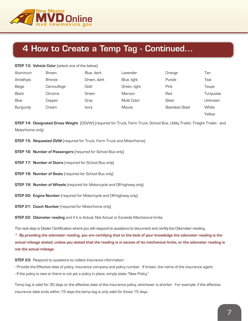

### 4 How to Create a Temp Tag - Continued...

#### **STEP 13: Vehicle Color** (select one of the below)

| Aluminum     | <b>Brown</b>  | Blue, dark   | _avender     | Orange                 | Tan       |
|--------------|---------------|--------------|--------------|------------------------|-----------|
| Amethyst     | <b>Bronze</b> | Green, dark  | Blue, light  | Purple                 | Teal      |
| Beige        | Camouflage    | Gold         | Green, light | Pink                   | Taupe     |
| <b>Black</b> | Chrome        | Green        | Maroon       | Red                    | Turquoise |
| Blue         | Copper        | Gray         | Multi Color  | Silver                 | Unknown   |
| Burgundy     | Cream         | <b>Ivory</b> | Mauve        | <b>Stainless Steel</b> | White     |
|              |               |              |              |                        | Yellow    |

**STEP 14: Designated Gross Weight** (DGVW) (required for Truck, Farm Truck, School Bus, Utility Trailer, Freight Trailer, and Motorhome only)

- **STEP 15: Requested GVW** (required for Truck, Farm Truck and Motorhome)
- **STEP 16: Number of Passengers** (required for School Bus only)
- **STEP 17: Number of Doors** (required for School Bus only)
- **STEP 18: Number of Seats** (required for School Bus only)
- **STEP 19: Number of Wheels** (required for Motorcycle and Off-highway only)
- **STEP 20: Engine Number** (required for Motorcycle and Off-highway only)
- **STEP 21: Coach Number** (required for Motorhome only)

**STEP 22: Odometer reading** and if it is Actual, Not Actual or Exceeds Mechanical limits.

The next step is Dealer Certification where you will respond to questions to document and certify the Odometer reading.

**\* By providing the odometer reading, you are certifying that to the best of your knowledge the odometer reading is the actual mileage stated, unless you stated that the reading is in excess of its mechanical limits, or the odometer reading is not the actual mileage.**

#### **STEP 23:** Respond to questions to collect Insurance information:

- Provide the Effective date of policy, insurance company and policy number. If known, the name of the insurance agent.

- If the policy is new or there is not yet a policy in place, simply state "New Policy."

Temp tag is valid for 30 days or the effective date of the insurance policy, whichever is shorter. For example, if the effective insurance date ends within 15 days the temp tag is only valid for those 15 days.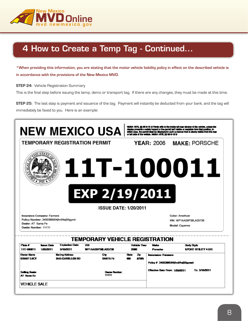

### 4 How to Create a Temp Tag - Continued...

**\*When providing this information, you are stating that the motor vehicle liability policy in effect on the described vehicle is in accordance with the provisions of the New Mexico MVD.**

**STEP 24:** Vehicle Registration Summary

This is the final step before issuing the temp, demo or transport tag. If there are any changes, they must be made at this time.

**STEP 25:** The last step is payment and issuance of the tag. Payment will instantly be deducted from your bank, and the tag will immediately be faxed to you. Here is an example:

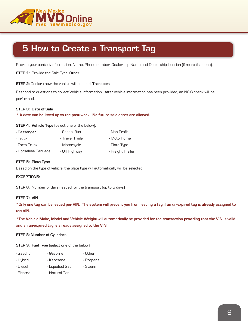

### 5 How to Create a Transport Tag

Provide your contact information: Name, Phone number, Dealership Name and Dealership location (if more than one).

**STEP 1:** Provide the Sale Type: **Other**

**STEP 2:** Declare how the vehicle will be used: **Transport**

Respond to questions to collect Vehicle Information. After vehicle information has been provided, an NCIC check will be performed.

#### **STEP 3: Date of Sale**

#### **\* A date can be listed up to the past week. No future sale dates are allowed.**

**STEP 4: Vehicle Type** (select one of the below):

| - Passenger          | - School Bus     | - Non Profit      |
|----------------------|------------------|-------------------|
| - Truck              | - Travel Trailer | - Motorhome       |
| - Farm Truck         | - Motorcycle     | - Plate Type      |
| - Horseless Carriage | - Off Highway    | - Freight Trailer |

#### **STEP 5: Plate Type**

Based on the type of vehicle, the plate type will automatically will be selected.

#### **EXCEPTIONS:**

**STEP 6:** Number of days needed for the transport (up to 5 days)

#### **STEP 7: VIN**

**\*Only one tag can be issued per VIN. The system will prevent you from issuing a tag if an un-expired tag is already assigned to the VIN.**

**\*The Vehicle Make, Model and Vehicle Weight will automatically be provided for the transaction providing that the VIN is valid and an un-expired tag is already assigned to the VIN.**

#### **STEP 8: Number of Cylinders**

**STEP 9: Fuel Type** (select one of the below)

| - Gasohol  | - Gasoline      | - Other   |
|------------|-----------------|-----------|
| - Hybrid   | - Kerosene      | - Propane |
| - Diesel   | - Liquefied Gas | - Steam   |
| - Electric | - Natural Gas   |           |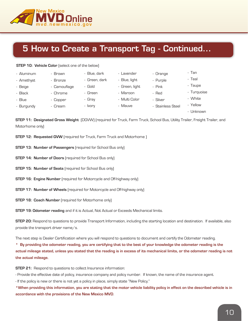

### 5 How to Create a Transport Tag - Continued...

#### **STEP 10: Vehicle Color** (select one of the below)

| - Aluminum | - Brown      | - Blue, dark  | - Lavender     | - Orange          | - Tan       |
|------------|--------------|---------------|----------------|-------------------|-------------|
| - Amethyst | - Bronze     | - Green, dark | - Blue, light  | - Purple          | - Teal      |
| - Beige    | - Camouflage | - Gold        | - Green, light | - Pink            | - Taupe     |
| - Black    | - Chrome     | - Green       | - Maroon       | - Red             | - Turquoise |
| - Blue     | - Copper     | - Grav        | - Multi Color  | - Silver          | - White     |
| - Burgundy | - Cream      | - Ivory       | - Mauve        | - Stainless Steel | - Yellow    |
|            |              |               |                |                   | - Unknown   |

**STEP 11: Designated Gross Weight** (DGVW) (required for Truck, Farm Truck, School Bus, Utility Trailer, Freight Trailer, and Motorhome only)

- **STEP 12: Requested GVW** (required for Truck, Farm Truck and Motorhome)
- **STEP 13: Number of Passengers** (required for School Bus only)
- **STEP 14: Number of Doors** (required for School Bus only)
- **STEP 15: Number of Seats** (required for School Bus only)
- **STEP 16: Engine Number** [required for Motorcycle and Off-highway only]
- **STEP 17: Number of Wheels** (required for Motorcycle and Off-highway only)
- **STEP 18: Coach Number** (required for Motorhome only)

**STEP 19: Odometer reading** and if it is Actual, Not Actual or Exceeds Mechanical limits.

**STEP 20:** Respond to questions to provide Transport Information, including the starting location and destination. If available, also provide the transport driver name/s.

The next step is Dealer Certification where you will respond to questions to document and certify the Odometer reading.

**\* By providing the odometer reading, you are certifying that to the best of your knowledge the odometer reading is the actual mileage stated, unless you stated that the reading is in excess of its mechanical limits, or the odometer reading is not the actual mileage.**

**STEP 21:** Respond to questions to collect Insurance information:

- Provide the effective date of policy, insurance company and policy number. If known, the name of the insurance agent.

- If the policy is new or there is not yet a policy in place, simply state "New Policy."

**\*When providing this information, you are stating that the motor vehicle liability policy in effect on the described vehicle is in accordance with the provisions of the New Mexico MVD**.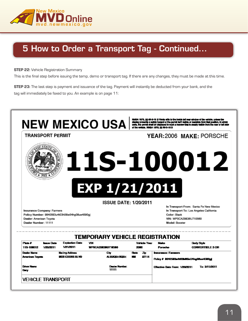

### 5 How to Order a Transport Tag - Continued...

**STEP 22:** Vehicle Registration Summary

This is the final step before issuing the temp, demo or transport tag. If there are any changes, they must be made at this time.

**STEP 23:** The last step is payment and issuance of the tag. Payment will instantly be deducted from your bank, and the tag will immediately be faxed to you. An example is on page 11: